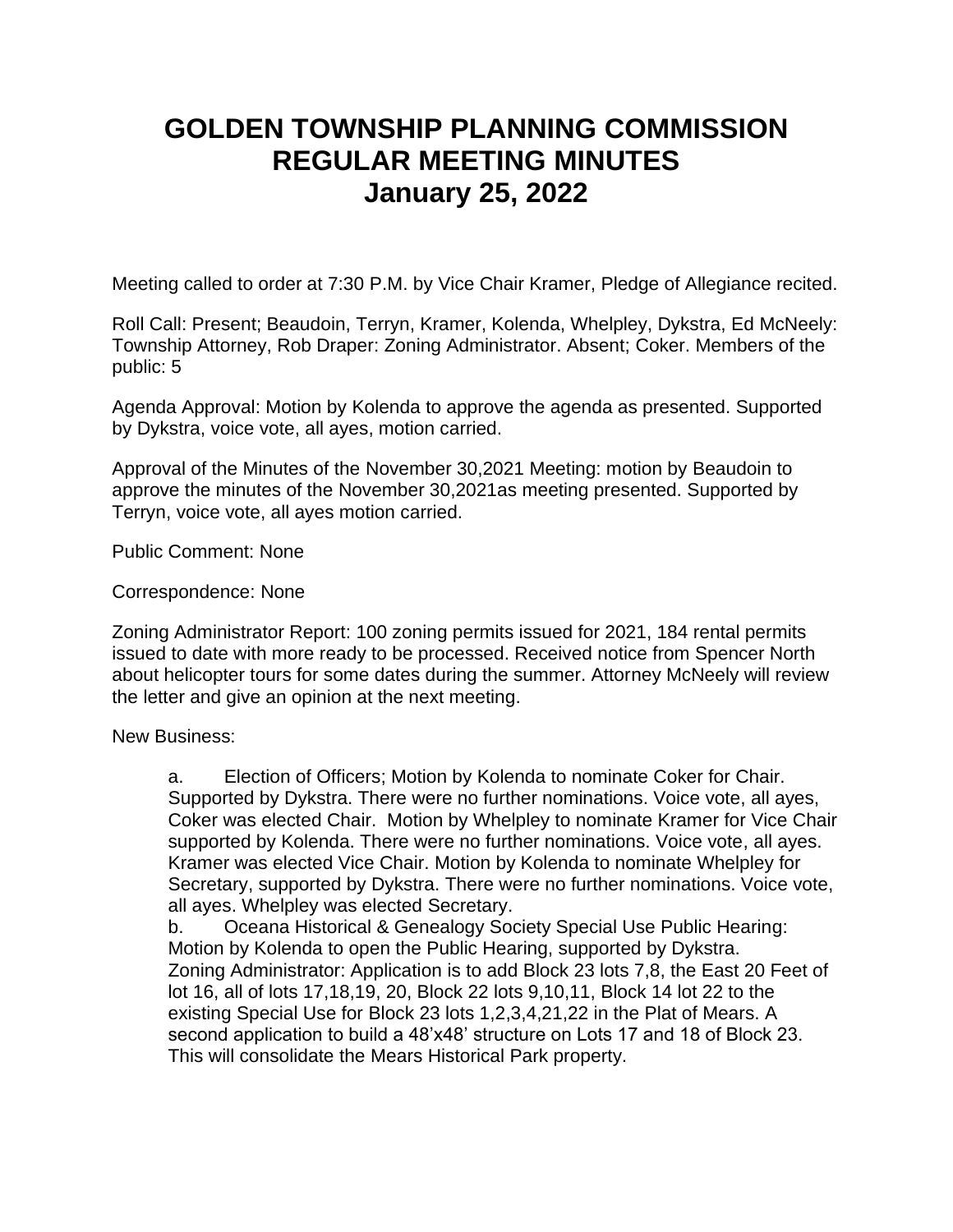## **GOLDEN TOWNSHIP PLANNING COMMISSION REGULAR MEETING MINUTES January 25, 2022**

Meeting called to order at 7:30 P.M. by Vice Chair Kramer, Pledge of Allegiance recited.

Roll Call: Present; Beaudoin, Terryn, Kramer, Kolenda, Whelpley, Dykstra, Ed McNeely: Township Attorney, Rob Draper: Zoning Administrator. Absent; Coker. Members of the public: 5

Agenda Approval: Motion by Kolenda to approve the agenda as presented. Supported by Dykstra, voice vote, all ayes, motion carried.

Approval of the Minutes of the November 30,2021 Meeting: motion by Beaudoin to approve the minutes of the November 30,2021as meeting presented. Supported by Terryn, voice vote, all ayes motion carried.

Public Comment: None

Correspondence: None

Zoning Administrator Report: 100 zoning permits issued for 2021, 184 rental permits issued to date with more ready to be processed. Received notice from Spencer North about helicopter tours for some dates during the summer. Attorney McNeely will review the letter and give an opinion at the next meeting.

New Business:

a. Election of Officers; Motion by Kolenda to nominate Coker for Chair. Supported by Dykstra. There were no further nominations. Voice vote, all ayes, Coker was elected Chair. Motion by Whelpley to nominate Kramer for Vice Chair supported by Kolenda. There were no further nominations. Voice vote, all ayes. Kramer was elected Vice Chair. Motion by Kolenda to nominate Whelpley for Secretary, supported by Dykstra. There were no further nominations. Voice vote, all ayes. Whelpley was elected Secretary.

b. Oceana Historical & Genealogy Society Special Use Public Hearing: Motion by Kolenda to open the Public Hearing, supported by Dykstra. Zoning Administrator: Application is to add Block 23 lots 7,8, the East 20 Feet of lot 16, all of lots 17,18,19, 20, Block 22 lots 9,10,11, Block 14 lot 22 to the existing Special Use for Block 23 lots 1,2,3,4,21,22 in the Plat of Mears. A second application to build a 48'x48' structure on Lots 17 and 18 of Block 23. This will consolidate the Mears Historical Park property.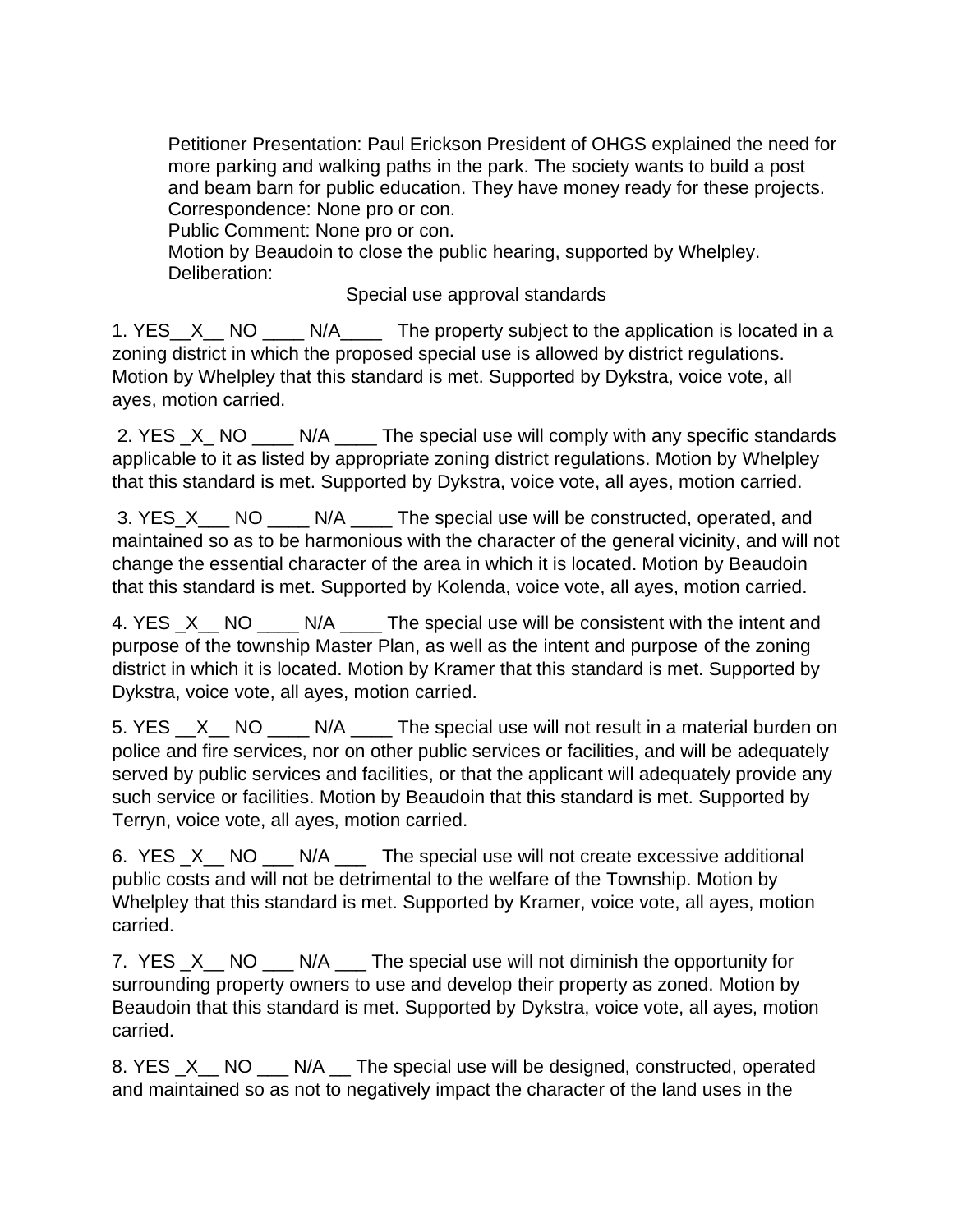Petitioner Presentation: Paul Erickson President of OHGS explained the need for more parking and walking paths in the park. The society wants to build a post and beam barn for public education. They have money ready for these projects. Correspondence: None pro or con.

Public Comment: None pro or con.

Motion by Beaudoin to close the public hearing, supported by Whelpley. Deliberation:

Special use approval standards

1. YES X NO N/A The property subject to the application is located in a zoning district in which the proposed special use is allowed by district regulations. Motion by Whelpley that this standard is met. Supported by Dykstra, voice vote, all ayes, motion carried.

2. YES \_X\_ NO \_\_\_\_ N/A \_\_\_\_ The special use will comply with any specific standards applicable to it as listed by appropriate zoning district regulations. Motion by Whelpley that this standard is met. Supported by Dykstra, voice vote, all ayes, motion carried.

3. YES\_X\_\_\_ NO \_\_\_\_ N/A \_\_\_\_ The special use will be constructed, operated, and maintained so as to be harmonious with the character of the general vicinity, and will not change the essential character of the area in which it is located. Motion by Beaudoin that this standard is met. Supported by Kolenda, voice vote, all ayes, motion carried.

4. YES X NO N/A The special use will be consistent with the intent and purpose of the township Master Plan, as well as the intent and purpose of the zoning district in which it is located. Motion by Kramer that this standard is met. Supported by Dykstra, voice vote, all ayes, motion carried.

5. YES X NO N/A The special use will not result in a material burden on police and fire services, nor on other public services or facilities, and will be adequately served by public services and facilities, or that the applicant will adequately provide any such service or facilities. Motion by Beaudoin that this standard is met. Supported by Terryn, voice vote, all ayes, motion carried.

6. YES X NO N/A The special use will not create excessive additional public costs and will not be detrimental to the welfare of the Township. Motion by Whelpley that this standard is met. Supported by Kramer, voice vote, all ayes, motion carried.

7. YES  $X$  NO N/A The special use will not diminish the opportunity for surrounding property owners to use and develop their property as zoned. Motion by Beaudoin that this standard is met. Supported by Dykstra, voice vote, all ayes, motion carried.

8. YES \_X\_\_ NO \_\_\_ N/A \_\_ The special use will be designed, constructed, operated and maintained so as not to negatively impact the character of the land uses in the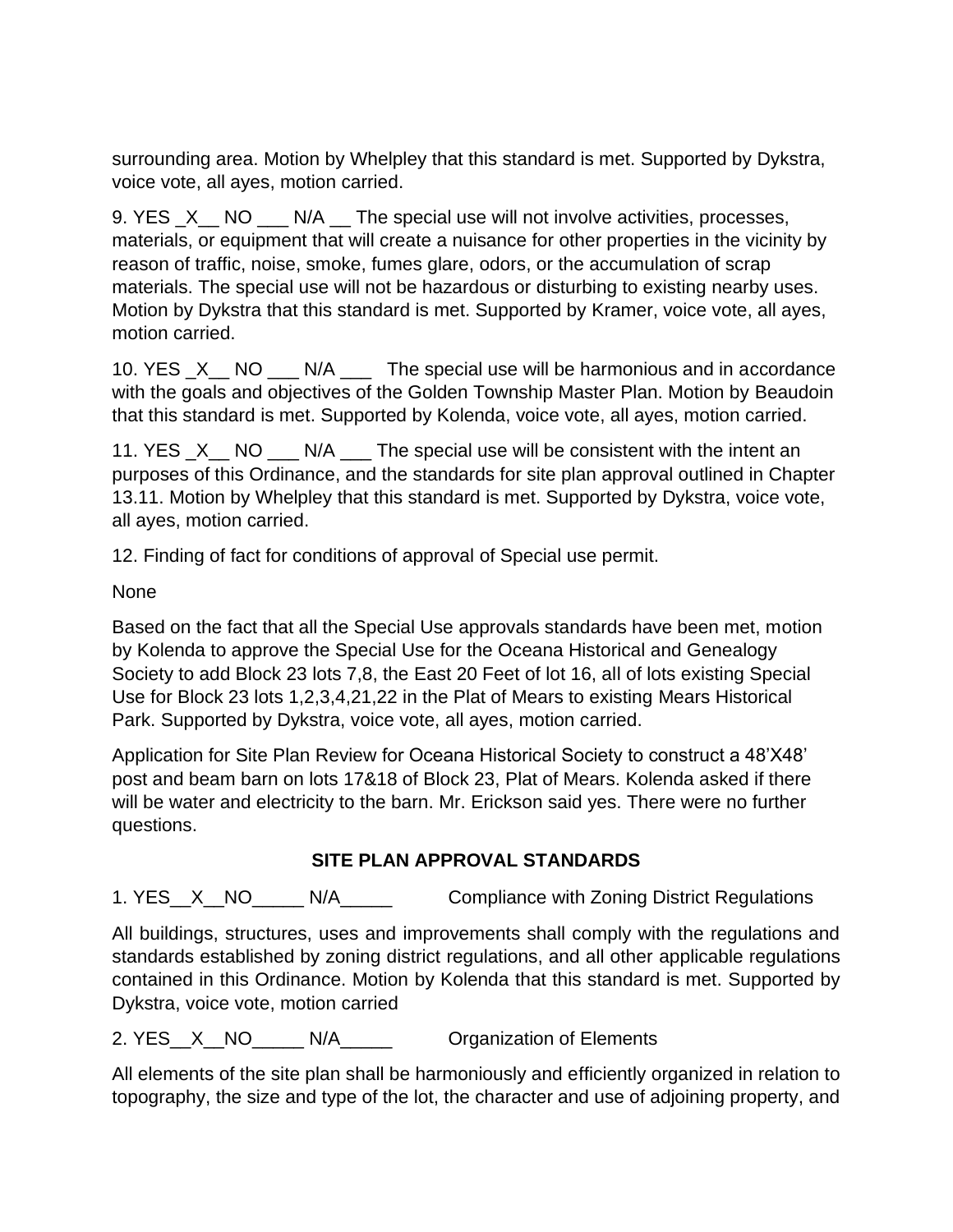surrounding area. Motion by Whelpley that this standard is met. Supported by Dykstra, voice vote, all ayes, motion carried.

9. YES \_X\_\_ NO \_\_\_ N/A \_\_ The special use will not involve activities, processes, materials, or equipment that will create a nuisance for other properties in the vicinity by reason of traffic, noise, smoke, fumes glare, odors, or the accumulation of scrap materials. The special use will not be hazardous or disturbing to existing nearby uses. Motion by Dykstra that this standard is met. Supported by Kramer, voice vote, all ayes, motion carried.

10. YES \_X\_\_ NO \_\_\_ N/A \_\_\_ The special use will be harmonious and in accordance with the goals and objectives of the Golden Township Master Plan. Motion by Beaudoin that this standard is met. Supported by Kolenda, voice vote, all ayes, motion carried.

11. YES \_X\_\_ NO \_\_\_ N/A \_\_\_ The special use will be consistent with the intent an purposes of this Ordinance, and the standards for site plan approval outlined in Chapter 13.11. Motion by Whelpley that this standard is met. Supported by Dykstra, voice vote, all ayes, motion carried.

12. Finding of fact for conditions of approval of Special use permit.

None

Based on the fact that all the Special Use approvals standards have been met, motion by Kolenda to approve the Special Use for the Oceana Historical and Genealogy Society to add Block 23 lots 7,8, the East 20 Feet of lot 16, all of lots existing Special Use for Block 23 lots 1,2,3,4,21,22 in the Plat of Mears to existing Mears Historical Park. Supported by Dykstra, voice vote, all ayes, motion carried.

Application for Site Plan Review for Oceana Historical Society to construct a 48'X48' post and beam barn on lots 17&18 of Block 23, Plat of Mears. Kolenda asked if there will be water and electricity to the barn. Mr. Erickson said yes. There were no further questions.

## **SITE PLAN APPROVAL STANDARDS**

1. YES\_X\_NO\_\_\_\_ N/A\_\_\_\_\_ Compliance with Zoning District Regulations

All buildings, structures, uses and improvements shall comply with the regulations and standards established by zoning district regulations, and all other applicable regulations contained in this Ordinance. Motion by Kolenda that this standard is met. Supported by Dykstra, voice vote, motion carried

2. YES\_X\_NO\_\_\_\_\_ N/A\_\_\_\_\_ Organization of Elements

All elements of the site plan shall be harmoniously and efficiently organized in relation to topography, the size and type of the lot, the character and use of adjoining property, and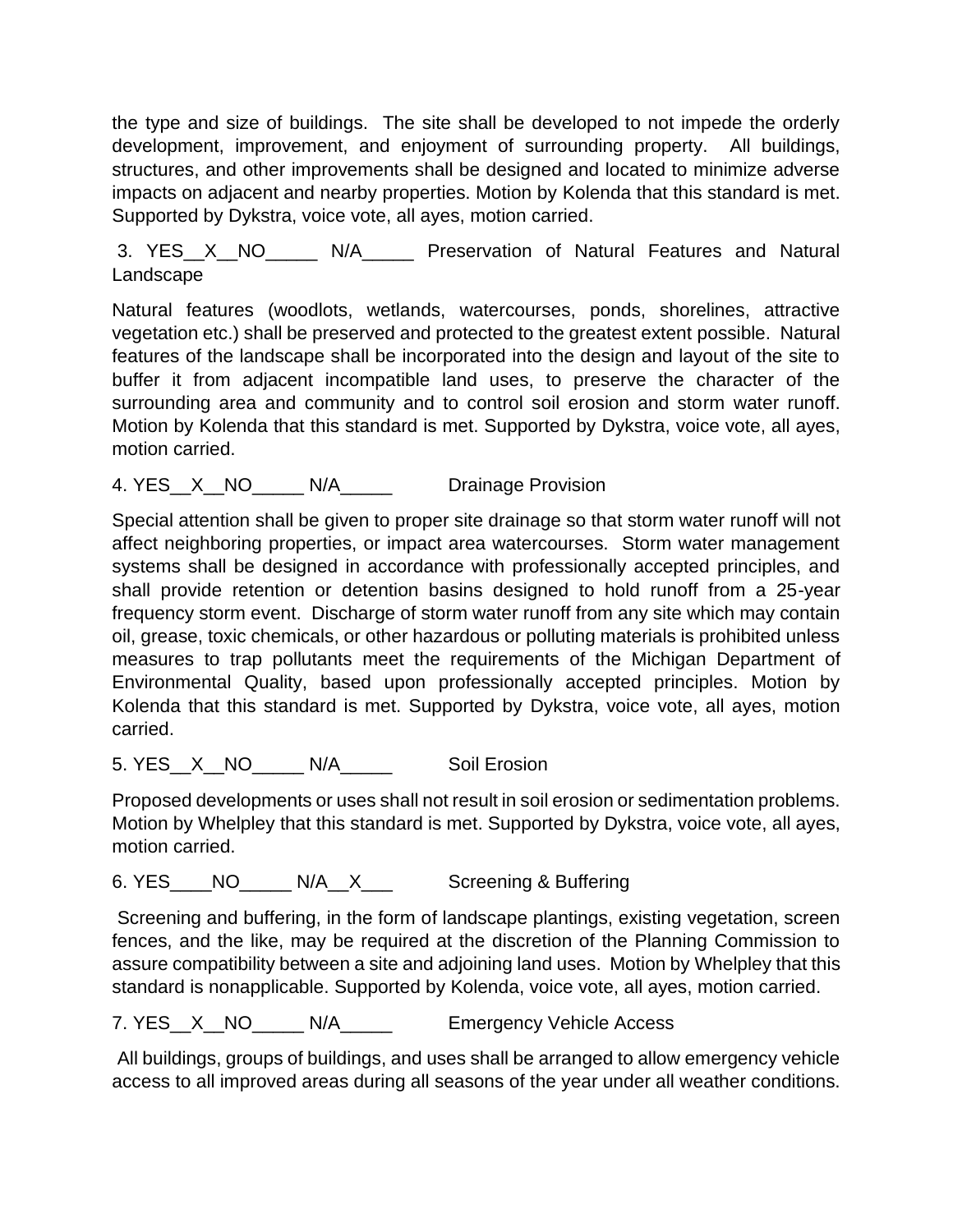the type and size of buildings. The site shall be developed to not impede the orderly development, improvement, and enjoyment of surrounding property. All buildings, structures, and other improvements shall be designed and located to minimize adverse impacts on adjacent and nearby properties. Motion by Kolenda that this standard is met. Supported by Dykstra, voice vote, all ayes, motion carried.

3. YES\_\_X\_\_NO\_\_\_\_\_ N/A\_\_\_\_\_ Preservation of Natural Features and Natural Landscape

Natural features (woodlots, wetlands, watercourses, ponds, shorelines, attractive vegetation etc.) shall be preserved and protected to the greatest extent possible. Natural features of the landscape shall be incorporated into the design and layout of the site to buffer it from adjacent incompatible land uses, to preserve the character of the surrounding area and community and to control soil erosion and storm water runoff. Motion by Kolenda that this standard is met. Supported by Dykstra, voice vote, all ayes, motion carried.

4. YES X NO N/A Drainage Provision

Special attention shall be given to proper site drainage so that storm water runoff will not affect neighboring properties, or impact area watercourses. Storm water management systems shall be designed in accordance with professionally accepted principles, and shall provide retention or detention basins designed to hold runoff from a 25-year frequency storm event. Discharge of storm water runoff from any site which may contain oil, grease, toxic chemicals, or other hazardous or polluting materials is prohibited unless measures to trap pollutants meet the requirements of the Michigan Department of Environmental Quality, based upon professionally accepted principles. Motion by Kolenda that this standard is met. Supported by Dykstra, voice vote, all ayes, motion carried.

5. YES X NO N/A Soil Erosion

Proposed developments or uses shall not result in soil erosion or sedimentation problems. Motion by Whelpley that this standard is met. Supported by Dykstra, voice vote, all ayes, motion carried.

6. YES\_\_\_\_NO\_\_\_\_\_ N/A\_\_X\_\_\_ Screening & Buffering

Screening and buffering, in the form of landscape plantings, existing vegetation, screen fences, and the like, may be required at the discretion of the Planning Commission to assure compatibility between a site and adjoining land uses. Motion by Whelpley that this standard is nonapplicable. Supported by Kolenda, voice vote, all ayes, motion carried.

7. YES\_X\_NO\_\_\_\_ N/A\_\_\_\_\_ Emergency Vehicle Access

All buildings, groups of buildings, and uses shall be arranged to allow emergency vehicle access to all improved areas during all seasons of the year under all weather conditions.